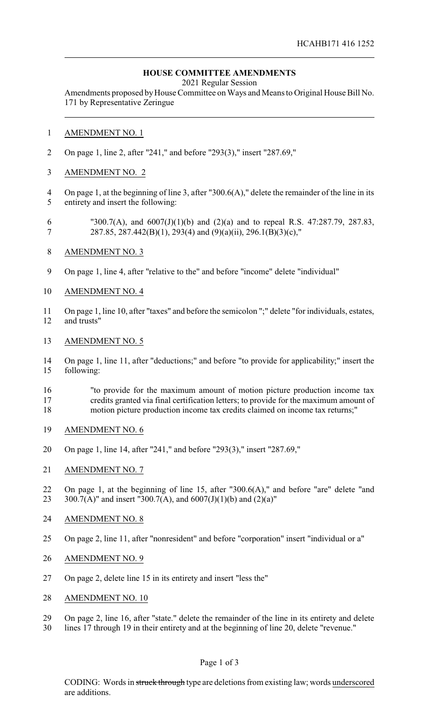## **HOUSE COMMITTEE AMENDMENTS**

2021 Regular Session

Amendments proposed by House Committee on Ways and Means to Original House Bill No. 171 by Representative Zeringue

## AMENDMENT NO. 1

- On page 1, line 2, after "241," and before "293(3)," insert "287.69,"
- AMENDMENT NO. 2
- On page 1, at the beginning of line 3, after "300.6(A)," delete the remainder of the line in its entirety and insert the following:
- "300.7(A), and 6007(J)(1)(b) and (2)(a) and to repeal R.S. 47:287.79, 287.83, 287.85, 287.442(B)(1), 293(4) and (9)(a)(ii), 296.1(B)(3)(c),"
- AMENDMENT NO. 3
- On page 1, line 4, after "relative to the" and before "income" delete "individual"
- AMENDMENT NO. 4
- On page 1, line 10, after "taxes" and before the semicolon ";" delete "for individuals, estates, and trusts"
- AMENDMENT NO. 5
- On page 1, line 11, after "deductions;" and before "to provide for applicability;" insert the following:
- "to provide for the maximum amount of motion picture production income tax credits granted via final certification letters; to provide for the maximum amount of
- motion picture production income tax credits claimed on income tax returns;"
- AMENDMENT NO. 6
- On page 1, line 14, after "241," and before "293(3)," insert "287.69,"
- AMENDMENT NO. 7
- On page 1, at the beginning of line 15, after "300.6(A)," and before "are" delete "and 23 300.7(A)" and insert "300.7(A), and  $6007(J)(1)(b)$  and  $(2)(a)$ "
- AMENDMENT NO. 8
- On page 2, line 11, after "nonresident" and before "corporation" insert "individual or a"
- AMENDMENT NO. 9
- On page 2, delete line 15 in its entirety and insert "less the"
- AMENDMENT NO. 10
- On page 2, line 16, after "state." delete the remainder of the line in its entirety and delete
- lines 17 through 19 in their entirety and at the beginning of line 20, delete "revenue."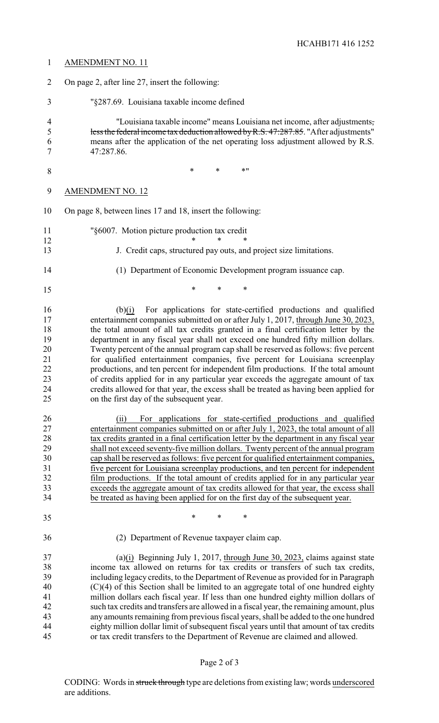| $\mathbf{1}$                                             | <b>AMENDMENT NO. 11</b>                                                                                                                                                                                                                                                                                                                                                                                                                                                                                                                                                                                                                                                                                                                                                                                                          |
|----------------------------------------------------------|----------------------------------------------------------------------------------------------------------------------------------------------------------------------------------------------------------------------------------------------------------------------------------------------------------------------------------------------------------------------------------------------------------------------------------------------------------------------------------------------------------------------------------------------------------------------------------------------------------------------------------------------------------------------------------------------------------------------------------------------------------------------------------------------------------------------------------|
| $\overline{2}$                                           | On page 2, after line 27, insert the following:                                                                                                                                                                                                                                                                                                                                                                                                                                                                                                                                                                                                                                                                                                                                                                                  |
| 3                                                        | "§287.69. Louisiana taxable income defined                                                                                                                                                                                                                                                                                                                                                                                                                                                                                                                                                                                                                                                                                                                                                                                       |
| $\overline{4}$<br>5<br>6<br>7                            | "Louisiana taxable income" means Louisiana net income, after adjustments,<br>less the federal income tax deduction allowed by R.S. 47:287.85. "After adjustments"<br>means after the application of the net operating loss adjustment allowed by R.S.<br>47:287.86.                                                                                                                                                                                                                                                                                                                                                                                                                                                                                                                                                              |
| 8                                                        | $\ast$<br>$\ast$<br>$*$ "                                                                                                                                                                                                                                                                                                                                                                                                                                                                                                                                                                                                                                                                                                                                                                                                        |
| 9                                                        | <b>AMENDMENT NO. 12</b>                                                                                                                                                                                                                                                                                                                                                                                                                                                                                                                                                                                                                                                                                                                                                                                                          |
| 10                                                       | On page 8, between lines 17 and 18, insert the following:                                                                                                                                                                                                                                                                                                                                                                                                                                                                                                                                                                                                                                                                                                                                                                        |
| 11<br>12                                                 | "§6007. Motion picture production tax credit                                                                                                                                                                                                                                                                                                                                                                                                                                                                                                                                                                                                                                                                                                                                                                                     |
| 13                                                       | J. Credit caps, structured pay outs, and project size limitations.                                                                                                                                                                                                                                                                                                                                                                                                                                                                                                                                                                                                                                                                                                                                                               |
| 14                                                       | (1) Department of Economic Development program issuance cap.                                                                                                                                                                                                                                                                                                                                                                                                                                                                                                                                                                                                                                                                                                                                                                     |
| 15                                                       | *<br>$\ast$<br>∗                                                                                                                                                                                                                                                                                                                                                                                                                                                                                                                                                                                                                                                                                                                                                                                                                 |
| 16<br>17<br>18<br>19<br>20<br>21<br>22<br>23<br>24<br>25 | For applications for state-certified productions and qualified<br>(b)(i)<br>entertainment companies submitted on or after July 1, 2017, through June 30, 2023,<br>the total amount of all tax credits granted in a final certification letter by the<br>department in any fiscal year shall not exceed one hundred fifty million dollars.<br>Twenty percent of the annual program cap shall be reserved as follows: five percent<br>for qualified entertainment companies, five percent for Louisiana screenplay<br>productions, and ten percent for independent film productions. If the total amount<br>of credits applied for in any particular year exceeds the aggregate amount of tax<br>credits allowed for that year, the excess shall be treated as having been applied for<br>on the first day of the subsequent year. |
| 26<br>27<br>28<br>29<br>30<br>31<br>32<br>33<br>34       | For applications for state-certified productions and qualified<br>(ii)<br>entertainment companies submitted on or after July 1, 2023, the total amount of all<br>tax credits granted in a final certification letter by the department in any fiscal year<br>shall not exceed seventy-five million dollars. Twenty percent of the annual program<br>cap shall be reserved as follows: five percent for qualified entertainment companies,<br>five percent for Louisiana screenplay productions, and ten percent for independent<br>film productions. If the total amount of credits applied for in any particular year<br>exceeds the aggregate amount of tax credits allowed for that year, the excess shall<br>be treated as having been applied for on the first day of the subsequent year.                                  |
| 35                                                       | $\ast$<br>*<br>*                                                                                                                                                                                                                                                                                                                                                                                                                                                                                                                                                                                                                                                                                                                                                                                                                 |
| 36                                                       | (2) Department of Revenue taxpayer claim cap.                                                                                                                                                                                                                                                                                                                                                                                                                                                                                                                                                                                                                                                                                                                                                                                    |
| 37<br>38<br>39<br>40<br>41<br>42<br>43<br>44<br>45       | (a) $(i)$ Beginning July 1, 2017, through June 30, 2023, claims against state<br>income tax allowed on returns for tax credits or transfers of such tax credits,<br>including legacy credits, to the Department of Revenue as provided for in Paragraph<br>$(C)(4)$ of this Section shall be limited to an aggregate total of one hundred eighty<br>million dollars each fiscal year. If less than one hundred eighty million dollars of<br>such tax credits and transfers are allowed in a fiscal year, the remaining amount, plus<br>any amounts remaining from previous fiscal years, shall be added to the one hundred<br>eighty million dollar limit of subsequent fiscal years until that amount of tax credits<br>or tax credit transfers to the Department of Revenue are claimed and allowed.                           |